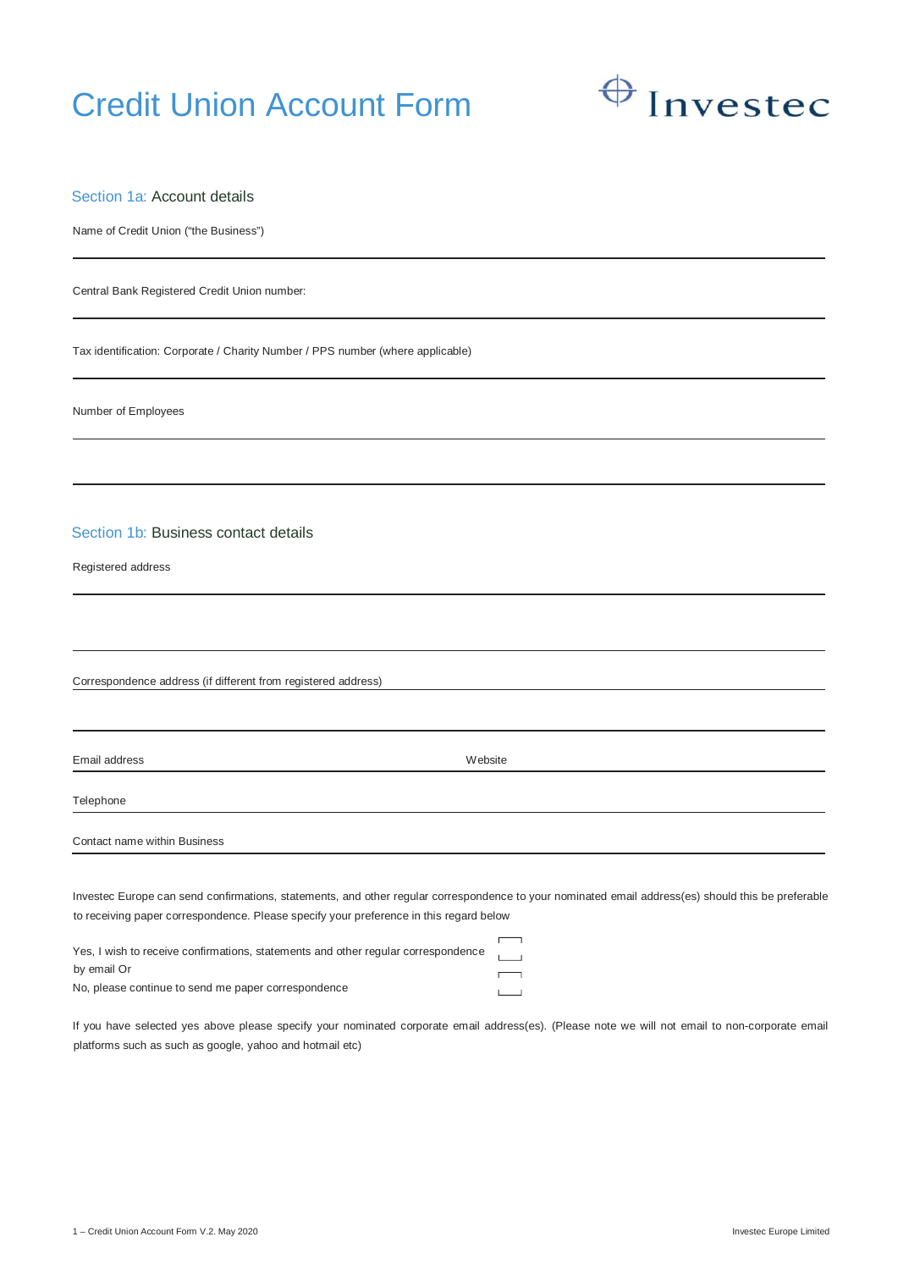# Credit Union Account Form



# Section 1a: Account details

Name of Credit Union ("the Business")

Central Bank Registered Credit Union number:

Tax identification: Corporate / Charity Number / PPS number (where applicable)

Number of Employees

Section 1b: Business contact details

Registered address

Correspondence address (if different from registered address)

Email address Website

Telephone

Contact name within Business

Investec Europe can send confirmations, statements, and other regular correspondence to your nominated email address(es) should this be preferable to receiving paper correspondence. Please specify your preference in this regard below

| Yes, I wish to receive confirmations, statements and other regular correspondence |                          |  |
|-----------------------------------------------------------------------------------|--------------------------|--|
| by email Or                                                                       | $\overline{\phantom{0}}$ |  |
| No, please continue to send me paper correspondence                               | $\mathbf{L}$             |  |

If you have selected yes above please specify your nominated corporate email address(es). (Please note we will not email to non-corporate email platforms such as such as google, yahoo and hotmail etc)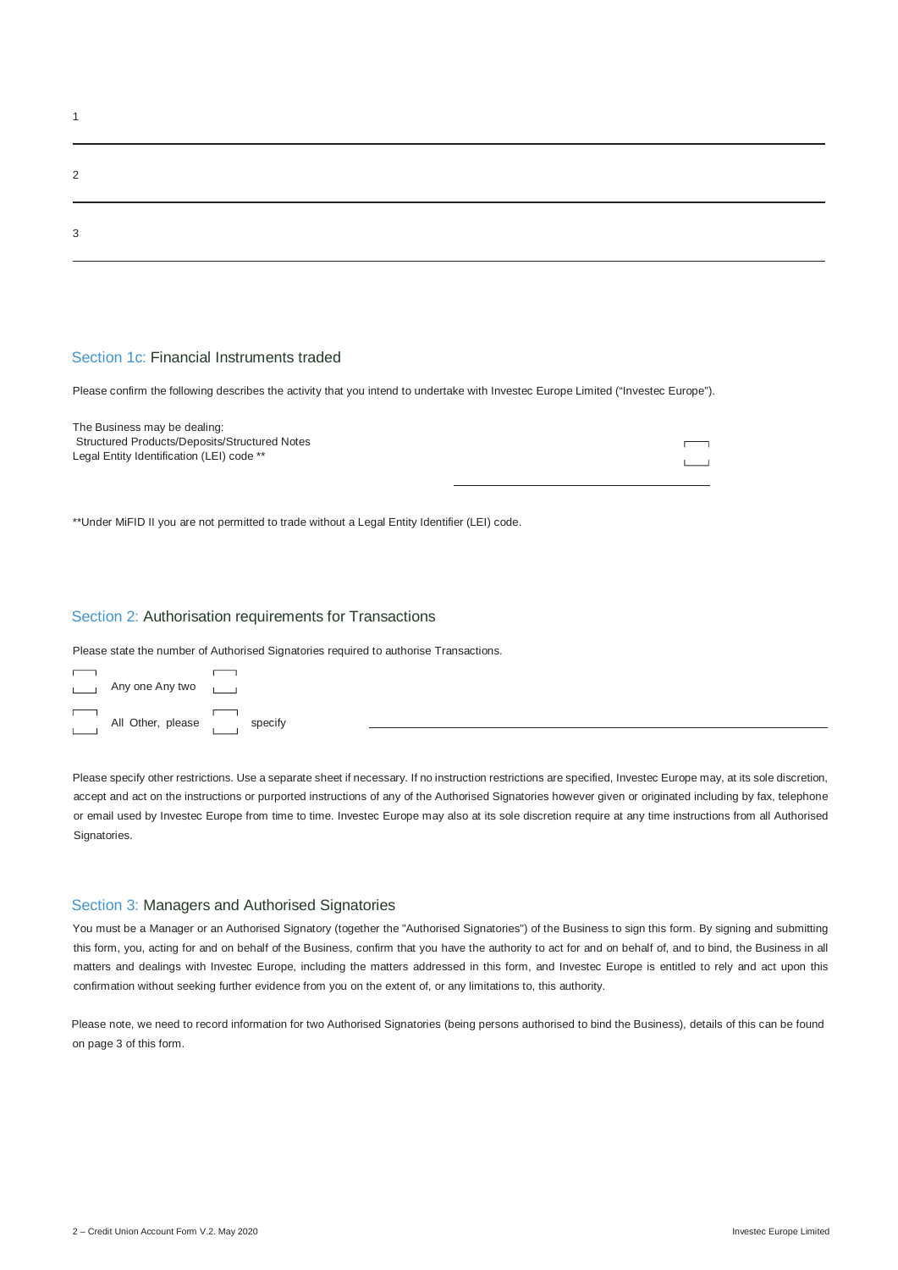| $\Omega$ |  |  |  |
|----------|--|--|--|
| 3        |  |  |  |

## Section 1c: Financial Instruments traded

Please confirm the following describes the activity that you intend to undertake with Investec Europe Limited ("Investec Europe").

| The Business may be dealing:                  |  |
|-----------------------------------------------|--|
| Structured Products/Deposits/Structured Notes |  |
| Legal Entity Identification (LEI) code **     |  |
|                                               |  |

\*\*Under MiFID II you are not permitted to trade without a Legal Entity Identifier (LEI) code.

#### Section 2: Authorisation requirements for Transactions

Please state the number of Authorised Signatories required to authorise Transactions.

| $\sim$ 1                                   | Any one Any two           |  |
|--------------------------------------------|---------------------------|--|
| <b>Contract Contract</b><br><b>College</b> | All Other, please specify |  |

Please specify other restrictions. Use a separate sheet if necessary. If no instruction restrictions are specified, Investec Europe may, at its sole discretion, accept and act on the instructions or purported instructions of any of the Authorised Signatories however given or originated including by fax, telephone or email used by Investec Europe from time to time. Investec Europe may also at its sole discretion require at any time instructions from all Authorised Signatories.

## Section 3: Managers and Authorised Signatories

You must be a Manager or an Authorised Signatory (together the "Authorised Signatories") of the Business to sign this form. By signing and submitting this form, you, acting for and on behalf of the Business, confirm that you have the authority to act for and on behalf of, and to bind, the Business in all matters and dealings with Investec Europe, including the matters addressed in this form, and Investec Europe is entitled to rely and act upon this confirmation without seeking further evidence from you on the extent of, or any limitations to, this authority.

Please note, we need to record information for two Authorised Signatories (being persons authorised to bind the Business), details of this can be found on page 3 of this form.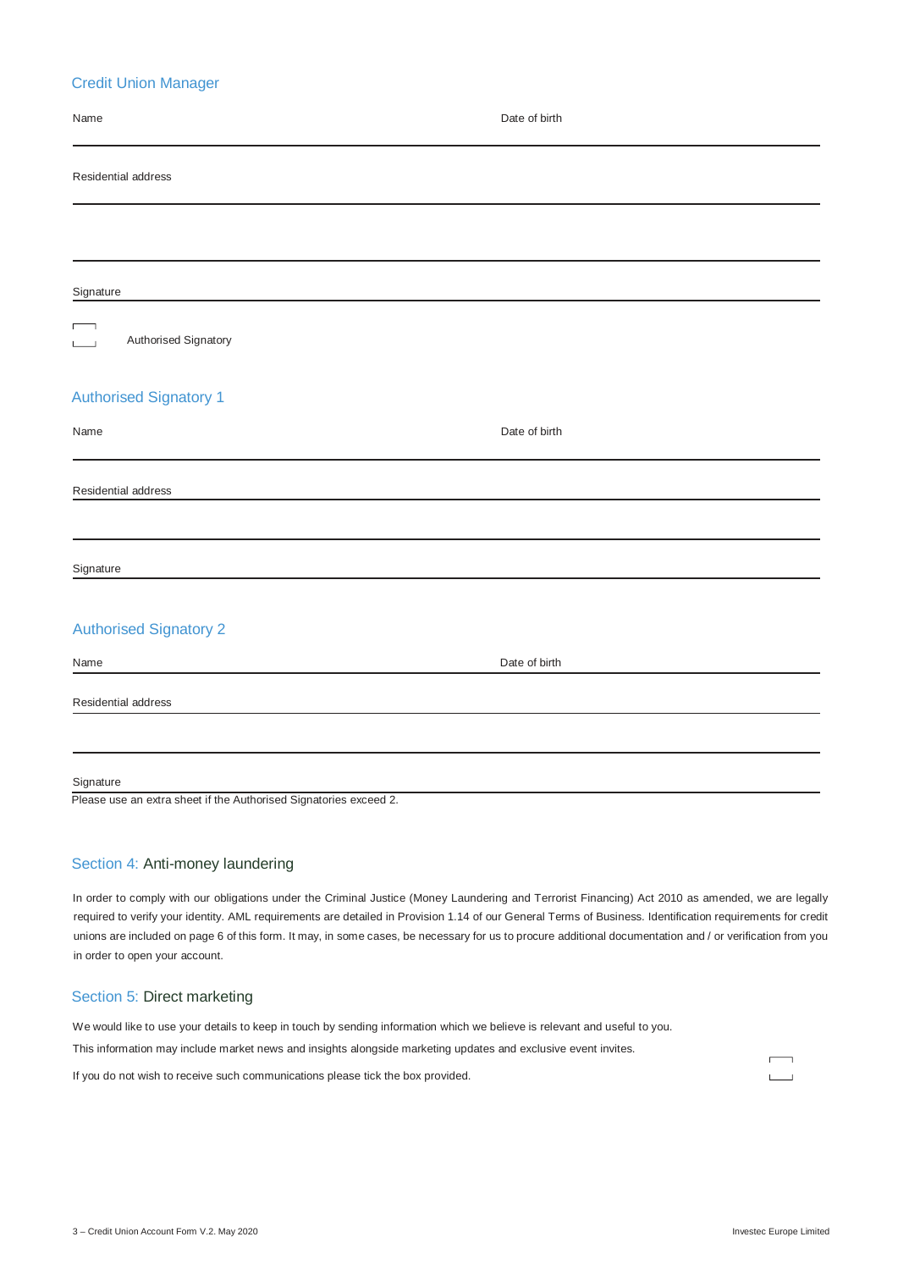# Credit Union Manager

| Name                                            | Date of birth |
|-------------------------------------------------|---------------|
| Residential address                             |               |
|                                                 |               |
| Signature                                       |               |
| $\Box$<br>Authorised Signatory<br>$\frac{1}{2}$ |               |
| <b>Authorised Signatory 1</b>                   |               |
| Name                                            | Date of birth |
| Residential address                             |               |
| Signature                                       |               |
| <b>Authorised Signatory 2</b>                   |               |
| Name                                            | Date of birth |
| Residential address                             |               |
| Signature                                       |               |

Please use an extra sheet if the Authorised Signatories exceed 2.

## Section 4: Anti-money laundering

In order to comply with our obligations under the Criminal Justice (Money Laundering and Terrorist Financing) Act 2010 as amended, we are legally required to verify your identity. AML requirements are detailed in Provision 1.14 of our General Terms of Business. Identification requirements for credit unions are included on page 6 of this form. It may, in some cases, be necessary for us to procure additional documentation and / or verification from you in order to open your account.

## Section 5: Direct marketing

We would like to use your details to keep in touch by sending information which we believe is relevant and useful to you.

This information may include market news and insights alongside marketing updates and exclusive event invites.

If you do not wish to receive such communications please tick the box provided.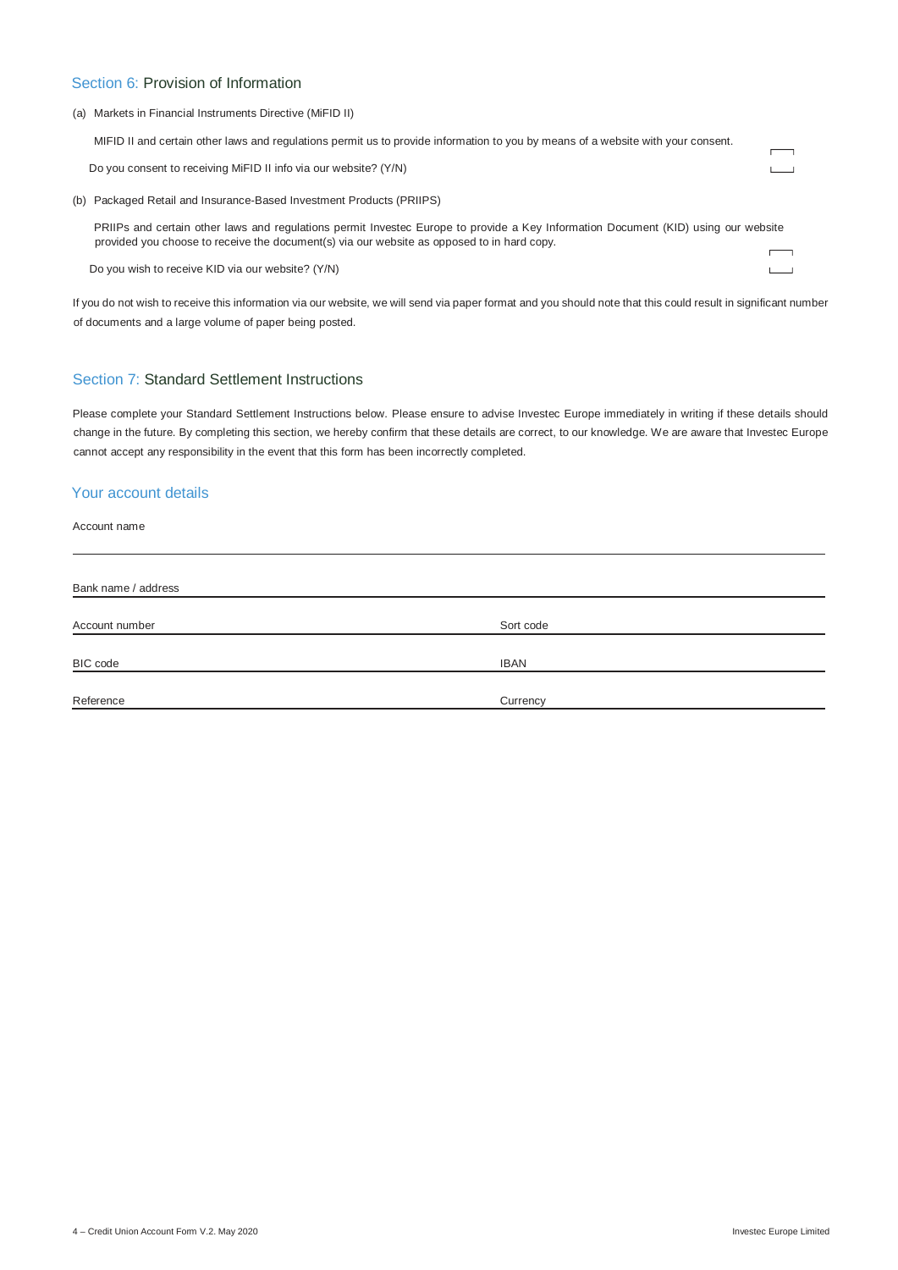# Section 6: Provision of Information

#### (a) Markets in Financial Instruments Directive (MiFID II)

| MIFID II and certain other laws and regulations permit us to provide information to you by means of a website with your consent.                                                                                                 |  |
|----------------------------------------------------------------------------------------------------------------------------------------------------------------------------------------------------------------------------------|--|
| Do you consent to receiving MiFID II info via our website? (Y/N)                                                                                                                                                                 |  |
| (b) Packaged Retail and Insurance-Based Investment Products (PRIIPS)                                                                                                                                                             |  |
| PRIIPs and certain other laws and regulations permit Investec Europe to provide a Key Information Document (KID) using our website<br>provided you choose to receive the document(s) via our website as opposed to in hard copy. |  |
| Do you wish to receive KID via our website? (Y/N)                                                                                                                                                                                |  |

If you do not wish to receive this information via our website, we will send via paper format and you should note that this could result in significant number of documents and a large volume of paper being posted.

# Section 7: Standard Settlement Instructions

Please complete your Standard Settlement Instructions below. Please ensure to advise Investec Europe immediately in writing if these details should change in the future. By completing this section, we hereby confirm that these details are correct, to our knowledge. We are aware that Investec Europe cannot accept any responsibility in the event that this form has been incorrectly completed.

# Your account details

Account name

| Bank name / address |             |  |  |
|---------------------|-------------|--|--|
|                     |             |  |  |
| Account number      | Sort code   |  |  |
|                     |             |  |  |
| BIC code            | <b>IBAN</b> |  |  |
|                     |             |  |  |
| Reference           | Currency    |  |  |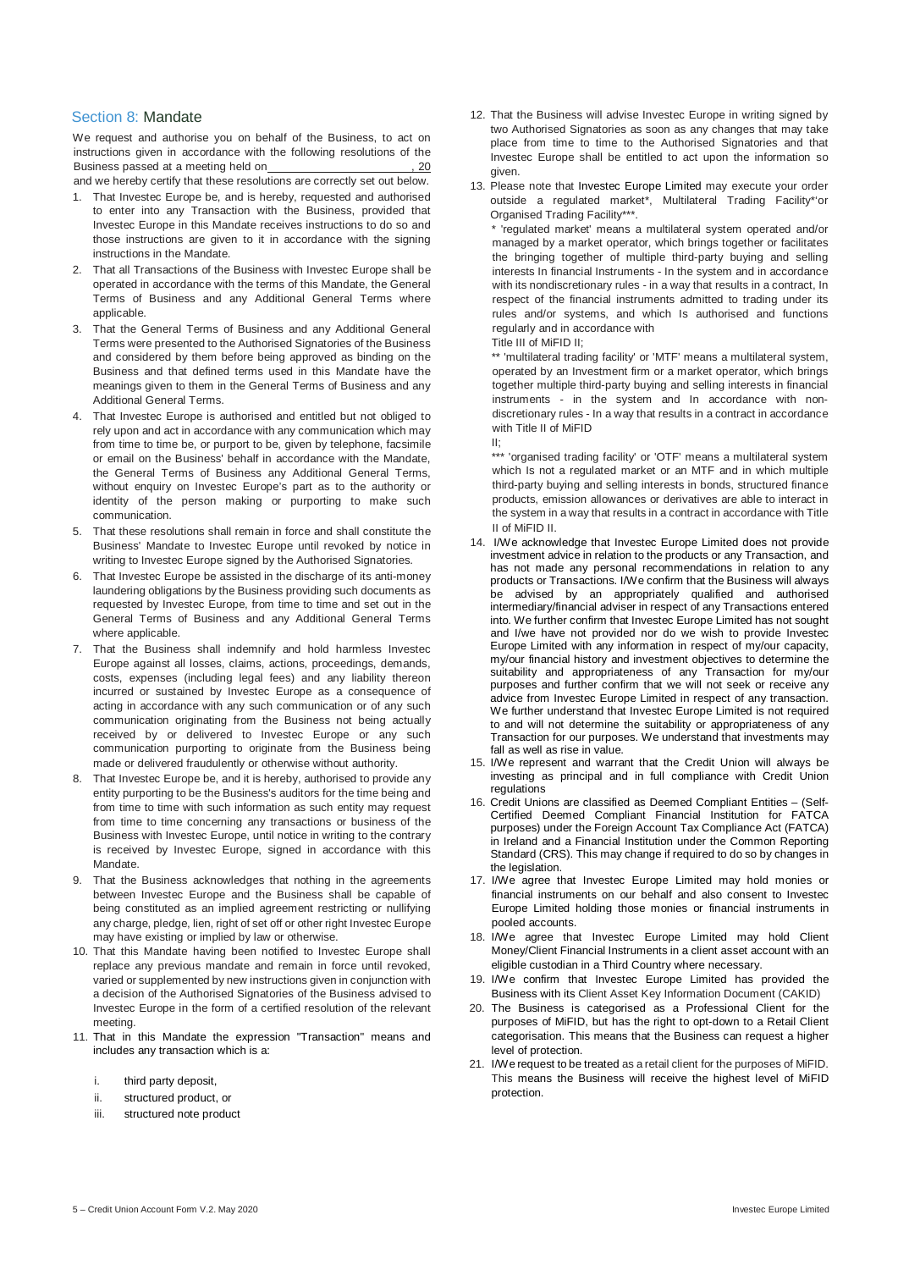## Section 8: Mandate

We request and authorise you on behalf of the Business, to act on instructions given in accordance with the following resolutions of the Business passed at a meeting held on **contained a set of the set of the set of the set of the set of the set of the set of the set of the set of the set of the set of the set of the set of the set of the set of the set of** and we hereby certify that these resolutions are correctly set out below.

- 1. That Investec Europe be, and is hereby, requested and authorised to enter into any Transaction with the Business, provided that Investec Europe in this Mandate receives instructions to do so and those instructions are given to it in accordance with the signing instructions in the Mandate.
- 2. That all Transactions of the Business with Investec Europe shall be operated in accordance with the terms of this Mandate, the General Terms of Business and any Additional General Terms where applicable.
- That the General Terms of Business and any Additional General Terms were presented to the Authorised Signatories of the Business and considered by them before being approved as binding on the Business and that defined terms used in this Mandate have the meanings given to them in the General Terms of Business and any Additional General Terms.
- 4. That Investec Europe is authorised and entitled but not obliged to rely upon and act in accordance with any communication which may from time to time be, or purport to be, given by telephone, facsimile or email on the Business' behalf in accordance with the Mandate, the General Terms of Business any Additional General Terms, without enquiry on Investec Europe's part as to the authority or identity of the person making or purporting to make such communication.
- 5. That these resolutions shall remain in force and shall constitute the Business' Mandate to Investec Europe until revoked by notice in writing to Investec Europe signed by the Authorised Signatories.
- 6. That Investec Europe be assisted in the discharge of its anti-money laundering obligations by the Business providing such documents as requested by Investec Europe, from time to time and set out in the General Terms of Business and any Additional General Terms where applicable.
- 7. That the Business shall indemnify and hold harmless Investec Europe against all losses, claims, actions, proceedings, demands, costs, expenses (including legal fees) and any liability thereon incurred or sustained by Investec Europe as a consequence of acting in accordance with any such communication or of any such communication originating from the Business not being actually received by or delivered to Investec Europe or any such communication purporting to originate from the Business being made or delivered fraudulently or otherwise without authority.
- 8. That Investec Europe be, and it is hereby, authorised to provide any entity purporting to be the Business's auditors for the time being and from time to time with such information as such entity may request from time to time concerning any transactions or business of the Business with Investec Europe, until notice in writing to the contrary is received by Investec Europe, signed in accordance with this Mandate.
- 9. That the Business acknowledges that nothing in the agreements between Investec Europe and the Business shall be capable of being constituted as an implied agreement restricting or nullifying any charge, pledge, lien, right of set off or other right Investec Europe may have existing or implied by law or otherwise.
- 10. That this Mandate having been notified to Investec Europe shall replace any previous mandate and remain in force until revoked, varied or supplemented by new instructions given in conjunction with a decision of the Authorised Signatories of the Business advised to Investec Europe in the form of a certified resolution of the relevant meeting.
- 11. That in this Mandate the expression "Transaction" means and includes any transaction which is a:
	- i. third party deposit.
	- ii. structured product, or
	- iii. structured note product
- 12. That the Business will advise Investec Europe in writing signed by two Authorised Signatories as soon as any changes that may take place from time to time to the Authorised Signatories and that Investec Europe shall be entitled to act upon the information so given.
- 13. Please note that Investec Europe Limited may execute your order outside a regulated market\*, Multilateral Trading Facility\*'or Organised Trading Facility\*\*\*.

'regulated market' means a multilateral system operated and/or managed by a market operator, which brings together or facilitates the bringing together of multiple third-party buying and selling interests In financial Instruments - In the system and in accordance with its nondiscretionary rules - in a way that results in a contract, In respect of the financial instruments admitted to trading under its rules and/or systems, and which Is authorised and functions regularly and in accordance with

Title III of MiFID II;

\*\* 'multilateral trading facility' or 'MTF' means a multilateral system, operated by an Investment firm or a market operator, which brings together multiple third-party buying and selling interests in financial instruments - in the system and In accordance with nondiscretionary rules - In a way that results in a contract in accordance with Title II of MiFID

II;

\*\*\* 'organised trading facility' or 'OTF' means a multilateral system which Is not a regulated market or an MTF and in which multiple third-party buying and selling interests in bonds, structured finance products, emission allowances or derivatives are able to interact in the system in a way that results in a contract in accordance with Title II of MiFID II.

- 14. I/We acknowledge that Investec Europe Limited does not provide investment advice in relation to the products or any Transaction, and has not made any personal recommendations in relation to any products or Transactions. I/We confirm that the Business will always be advised by an appropriately qualified and authorised intermediary/financial adviser in respect of any Transactions entered into. We further confirm that Investec Europe Limited has not sought and I/we have not provided nor do we wish to provide Investec Europe Limited with any information in respect of my/our capacity, my/our financial history and investment objectives to determine the suitability and appropriateness of any Transaction for my/our purposes and further confirm that we will not seek or receive any advice from Investec Europe Limited in respect of any transaction. We further understand that Investec Europe Limited is not required to and will not determine the suitability or appropriateness of any Transaction for our purposes. We understand that investments may fall as well as rise in value.
- 15. I/We represent and warrant that the Credit Union will always be investing as principal and in full compliance with Credit Union regulations
- 16. Credit Unions are classified as Deemed Compliant Entities (Self-Certified Deemed Compliant Financial Institution for FATCA purposes) under the Foreign Account Tax Compliance Act (FATCA) in Ireland and a Financial Institution under the Common Reporting Standard (CRS). This may change if required to do so by changes in the legislation.
- 17. I/We agree that Investec Europe Limited may hold monies or financial instruments on our behalf and also consent to Investec Europe Limited holding those monies or financial instruments in pooled accounts.
- 18. I/We agree that Investec Europe Limited may hold Client Money/Client Financial Instruments in a client asset account with an eligible custodian in a Third Country where necessary.
- 19. I/We confirm that Investec Europe Limited has provided the Business with its Client Asset Key Information Document (CAKID)
- 20. The Business is categorised as a Professional Client for the purposes of MiFID, but has the right to opt-down to a Retail Client categorisation. This means that the Business can request a higher level of protection.
- 21. I/We request to be treated as a retail client for the purposes of MiFID. This means the Business will receive the highest level of MiFID protection.